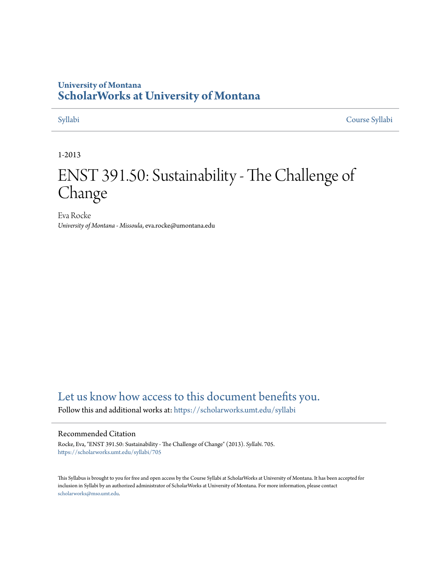# **University of Montana [ScholarWorks at University of Montana](https://scholarworks.umt.edu?utm_source=scholarworks.umt.edu%2Fsyllabi%2F705&utm_medium=PDF&utm_campaign=PDFCoverPages)**

[Syllabi](https://scholarworks.umt.edu/syllabi?utm_source=scholarworks.umt.edu%2Fsyllabi%2F705&utm_medium=PDF&utm_campaign=PDFCoverPages) [Course Syllabi](https://scholarworks.umt.edu/course_syllabi?utm_source=scholarworks.umt.edu%2Fsyllabi%2F705&utm_medium=PDF&utm_campaign=PDFCoverPages)

#### 1-2013

# ENST 391.50: Sustainability - The Challenge of Change

Eva Rocke *University of Montana - Missoula*, eva.rocke@umontana.edu

# [Let us know how access to this document benefits you.](https://goo.gl/forms/s2rGfXOLzz71qgsB2)

Follow this and additional works at: [https://scholarworks.umt.edu/syllabi](https://scholarworks.umt.edu/syllabi?utm_source=scholarworks.umt.edu%2Fsyllabi%2F705&utm_medium=PDF&utm_campaign=PDFCoverPages)

#### Recommended Citation

Rocke, Eva, "ENST 391.50: Sustainability - The Challenge of Change" (2013). *Syllabi*. 705. [https://scholarworks.umt.edu/syllabi/705](https://scholarworks.umt.edu/syllabi/705?utm_source=scholarworks.umt.edu%2Fsyllabi%2F705&utm_medium=PDF&utm_campaign=PDFCoverPages)

This Syllabus is brought to you for free and open access by the Course Syllabi at ScholarWorks at University of Montana. It has been accepted for inclusion in Syllabi by an authorized administrator of ScholarWorks at University of Montana. For more information, please contact [scholarworks@mso.umt.edu](mailto:scholarworks@mso.umt.edu).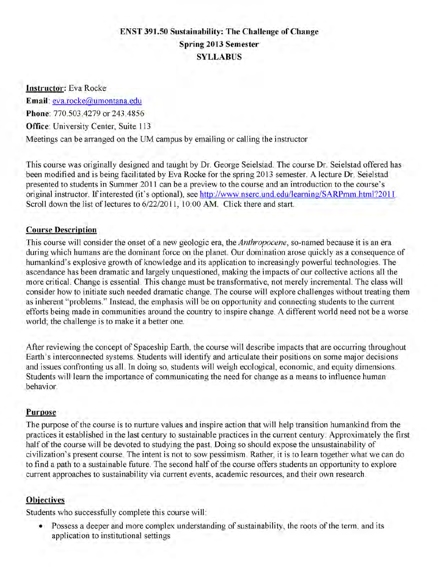# **ENST 391.50 Sustainability: The Challenge of Change Spring 2013 Semester SYLLABUS**

**Instructor:** Eva Rocke

**Email:** eva.rocke@umontana.edu

**Phone:** 770.503.4279 or 243.4856

**Office:** University Center, Suite 113

Meetings can be arranged on the UM campus by emailing or calling the instructor

This course was originally designed and taught by Dr. George Seielstad. The course Dr. Seielstad offered has been modified and is being facilitated by Eva Rocke for the spring 2013 semester. A lecture Dr. Seielstad presented to students in Summer 2011 can be a preview to the course and an introduction to the course's original instructor. If interested (it's optional), see http://www.nserc.und.edu/learning/SARPmm.html72011. Scroll down the list of lectures to 6/22/2011, 10:00 AM. Click there and start.

# **Course Description**

This course will consider the onset of a new geologic era, the *Anthropocene,* so-named because it is an era during which humans are the dominant force on the planet. Our domination arose quickly as a consequence of humankind's explosive growth of knowledge and its application to increasingly powerful technologies. The ascendance has been dramatic and largely unquestioned, making the impacts of our collective actions all the more critical. Change is essential. This change must be transformative, not merely incremental. The class will consider how to initiate such needed dramatic change. The course will explore challenges without treating them as inherent "problems." Instead, the emphasis will be on opportunity and connecting students to the current efforts being made in communities around the country to inspire change. A different world need not be a worse world; the challenge is to make it a better one.

After reviewing the concept of Spaceship Earth, the course will describe impacts that are occurring throughout Earth's interconnected systems. Students will identify and articulate their positions on some major decisions and issues confronting us all. In doing so, students will weigh ecological, economic, and equity dimensions. Students will learn the importance of communicating the need for change as a means to influence human behavior.

# **Purpose**

The purpose of the course is to nurture values and inspire action that will help transition humankind from the practices it established in the last century to sustainable practices in the current century. Approximately the first half of the course will be devoted to studying the past. Doing so should expose the unsustainability of civilization's present course. The intent is not to sow pessimism. Rather, it is to learn together what we can do to find a path to a sustainable future. The second half of the course offers students an opportunity to explore current approaches to sustainability via current events, academic resources, and their own research.

# **Objectives**

Students who successfully complete this course will:

• Possess a deeper and more complex understanding of sustainability, the roots of the term, and its application to institutional settings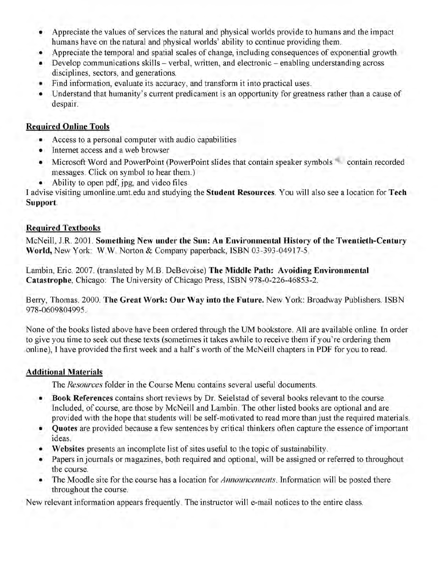- Appreciate the values of services the natural and physical worlds provide to humans and the impact humans have on the natural and physical worlds' ability to continue providing them.
- Appreciate the temporal and spatial scales of change, including consequences of exponential growth.
- Develop communications skills verbal, written, and electronic enabling understanding across disciplines, sectors, and generations.
- Find information, evaluate its accuracy, and transform it into practical uses.
- Understand that humanity's current predicament is an opportunity for greatness rather than a cause of despair.

# **Required Online Tools**

- Access to a personal computer with audio capabilities
- Internet access and a web browser
- Microsoft Word and PowerPoint (PowerPoint slides that contain speaker symbols contain recorded messages. Click on symbol to hear them.)
- Ability to open pdf, jpg, and video files

**I** advise visiting umonline.umt.edu and studying the **Student Resources.** You will also see a location for **Tech Support.**

# **Required Textbooks**

McNeill, **J R.** 2001. **Something New under the Sun: An Environmental History of the Twentieth-Century World,** New York: W.W. Norton & Company paperback, ISBN 03-393-04917-5.

Lambin, Eric. 2007. (translated by M.B. DeBevoise) **The Middle Path: Avoiding Environmental Catastrophe,** Chicago: The University of Chicago Press, ISBN 978-0-226-46853-2.

Berry, Thomas. 2000. **The Great Work: Our Way into the Future.** New York: Broadway Publishers. ISBN 978-0609804995.

None of the books listed above have been ordered through the UM bookstore. All are available online. In order to give you time to seek out these texts (sometimes it takes awhile to receive them if you're ordering them online), I have provided the first week and a half's worth of the McNeill chapters in PDF for you to read.

# **Additional Materials**

The *Resources* folder in the Course Menu contains several useful documents.

- • **Book References** contains short reviews by Dr. Seielstad of several books relevant to the course. Included, of course, are those by McNeill and Lambin. The other listed books are optional and are provided with the hope that students will be self-motivated to read more than just the required materials.
- **Quotes** are provided because a few sentences by critical thinkers often capture the essence of important ideas.
- • **Websites** presents an incomplete list of sites useful to the topic of sustainability.
- Papers in journals or magazines, both required and optional, will be assigned or referred to throughout the course.
- The Moodle site for the course has a location for *Announcements.* Information will be posted there throughout the course.

New relevant information appears frequently. The instructor will e-mail notices to the entire class.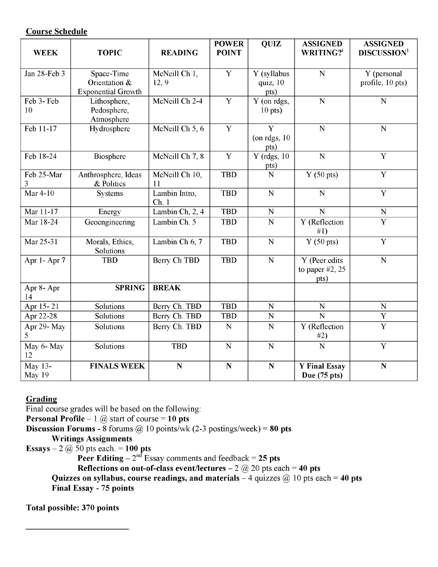# **Course Schedule**

| <b>WEEK</b>       | <b>TOPIC</b>                | <b>READING</b>      | <b>POWER</b><br><b>POINT</b> | <b>QUIZ</b>              | <b>ASSIGNED</b><br>WRITING?i   | <b>ASSIGNED</b><br><b>DISCUSSION</b> <sup>1</sup> |
|-------------------|-----------------------------|---------------------|------------------------------|--------------------------|--------------------------------|---------------------------------------------------|
|                   |                             |                     |                              |                          |                                |                                                   |
| Jan 28-Feb 3      | Space-Time                  | McNeill Ch 1,       | Y                            | Y (syllabus              | N                              | Y (personal                                       |
|                   | Orientation &               | 12, 9               |                              | quiz, 10                 |                                | profile, 10 pts)                                  |
|                   | <b>Exponential Growth</b>   |                     | $\overline{Y}$               | pts)                     |                                |                                                   |
| Feb 3-Feb<br>10   | Lithosphere,<br>Pedosphere, | McNeill Ch 2-4      |                              | Y (on rdgs,<br>$10$ pts) | N                              | $\mathbf N$                                       |
|                   | Atmosphere                  |                     |                              |                          |                                |                                                   |
| Feb 11-17         | Hydrosphere                 | McNeill Ch 5, 6     | $\overline{Y}$               | $\overline{\mathbf{Y}}$  | N                              | N                                                 |
|                   |                             |                     |                              | (on rdgs, $10$           |                                |                                                   |
|                   |                             |                     |                              | pts)                     |                                |                                                   |
| Feb 18-24         | Biosphere                   | McNeill Ch 7, 8     | Y                            | $Y$ (rdgs, 10)           | $\overline{N}$                 | $\overline{Y}$                                    |
|                   |                             |                     |                              | pts)                     |                                |                                                   |
| Feb 25-Mar        | Anthrosphere, Ideas         | McNeill Ch 10,      | <b>TBD</b>                   | N                        | $\overline{Y(50 \text{ pts})}$ | $\overline{Y}$                                    |
| 3<br>Mar 4-10     | & Politics                  | 11<br>Lambin Intro, | <b>TBD</b>                   | $\mathbf N$              | N                              | Y                                                 |
|                   | Systems                     | Ch.1                |                              |                          |                                |                                                   |
| Mar 11-17         | Energy                      | Lambin Ch, 2, 4     | <b>TBD</b>                   | $\mathbf N$              | N                              | N                                                 |
| Mar 18-24         | Geoengineering              | Lambin Ch. 5        | <b>TBD</b>                   | N                        | Y (Reflection                  | Y                                                 |
|                   |                             |                     |                              |                          | #1)                            |                                                   |
| Mar 25-31         | Morals, Ethics,             | Lambin Ch 6, 7      | <b>TBD</b>                   | $\mathbf N$              | $Y(50 \text{ pts})$            | Y                                                 |
|                   | Solutions                   |                     |                              |                          |                                |                                                   |
| Apr 1-Apr 7       | <b>TBD</b>                  | Berry Ch TBD        | <b>TBD</b>                   | $\overline{N}$           | Y (Peer edits                  | N                                                 |
|                   |                             |                     |                              |                          | to paper $#2$ , 25             |                                                   |
|                   | <b>SPRING</b>               | <b>BREAK</b>        |                              |                          | pts)                           |                                                   |
| Apr 8- Apr<br>14  |                             |                     |                              |                          |                                |                                                   |
| Apr $15 - 21$     | Solutions                   | Berry Ch. TBD       | <b>TBD</b>                   | $\overline{\text{N}}$    | $\overline{\mathbf{N}}$        | $\overline{N}$                                    |
| Apr 22-28         | Solutions                   | Berry Ch. TBD       | <b>TBD</b>                   | $\overline{\mathbf{N}}$  | $\overline{\mathbf{N}}$        | $\overline{Y}$                                    |
| Apr 29- May<br>5. | Solutions                   | Berry Ch. TBD       | $\mathbf N$                  | $\mathbf N$              | Y (Reflection<br>#2)           | $\overline{\text{Y}}$                             |
| May 6- May        | Solutions                   | <b>TBD</b>          | $\mathbf N$                  | $\overline{N}$           | $\overline{\mathbf{N}}$        | $\overline{Y}$                                    |
| 12                |                             |                     |                              |                          |                                |                                                   |
| May $13-$         | <b>FINALS WEEK</b>          | $\mathbf N$         | $\overline{\bf N}$           | $\overline{\mathbf{N}}$  | <b>Y</b> Final Essay           | $\overline{\mathbf{N}}$                           |
| May 19            |                             |                     |                              |                          | Due $(75$ pts)                 |                                                   |

# **Grading**

Final course grades will be based on the following:

**Personal Profile**  $-1$   $\omega$  start of course  $= 10$  pts

**Discussion Forums - 8** forums  $\omega$  10 points/wk (2-3 postings/week) = 80 pts

**Writings Assignments**

**Essays -** 2 @ 50 pts each. **= 100 pts**

**Peer Editing -** 2nd Essay comments and feedback **= 25 pts**

**Reflections on out-of-class event/lectures**  $- 2$   $\omega$  20 pts each  $= 40$  pts

**Quizzes on syllabus, course readings, and materials**  $-4$  **quizzes**  $@10$  **pts each = 40 pts Final Essay - 75 points**

**Total possible: 370 points**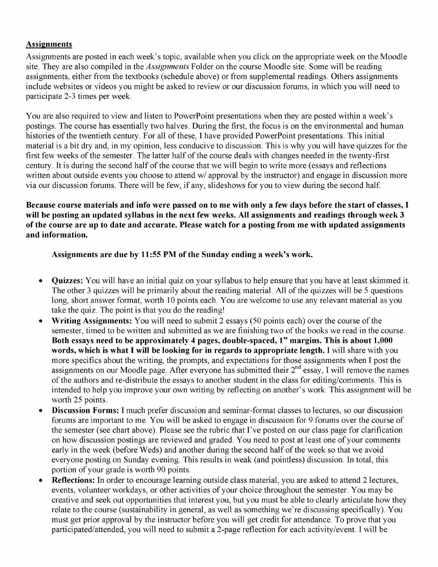# **Assignments**

Assignments are posted in each week's topic, available when you click on the appropriate week on the Moodle site. They are also compiled in the *Assignments* Folder on the course Moodle site. Some will be reading assignments, either from the textbooks (schedule above) or from supplemental readings. Others assignments include websites or videos you might be asked to review or our discussion forums, in which you will need to participate 2-3 times per week.

You are also required to view and listen to PowerPoint presentations when they are posted within a week's postings. The course has essentially two halves. During the first, the focus is on the environmental and human histories of the twentieth century. For all of these, I have provided PowerPoint presentations. This initial material is a bit dry and, in my opinion, less conducive to discussion. This is why you will have quizzes for the first few weeks of the semester. The latter half of the course deals with changes needed in the twenty-first century. It is during the second half of the course that we will begin to write more (essays and reflections written about outside events you choose to attend w/ approval by the instructor) and engage in discussion more via our discussion forums. There will be few, if any, slideshows for you to view during the second half.

**Because course materials and info were passed on to me with only a few days before the start of classes, I will be posting an updated syllabus in the next few weeks. All assignments and readings through week 3 of the course are up to date and accurate. Please watch for a posting from me with updated assignments and information.**

**Assignments are due by 11:55 PM of the Sunday ending a week's work.**

- **Quizzes:** You will have an initial quiz on your syllabus to help ensure that you have at least skimmed it. The other 3 quizzes will be primarily about the reading material. All of the quizzes will be 5 questions long, short answer format, worth 10 points each. You are welcome to use any relevant material as you take the quiz. The point is that you do the reading!
- **Writing Assignments:** You will need to submit 2 essays (50 points each) over the course of the semester, timed to be written and submitted as we are finishing two of the books we read in the course. **Both essays need to be approximately 4 pages, double-spaced, 1" margins. This is about 1,000 words, which is what I will be looking for in regards to appropriate length.** I will share with you more specifics about the writing, the prompts, and expectations for those assignments when I post the assignments on our Moodle page. After everyone has submitted their  $2<sup>nd</sup>$  essay, I will remove the names of the authors and re-distribute the essays to another student in the class for editing/comments. This is intended to help you improve your own writing by reflecting on another's work. This assignment will be worth 25 points.
- **Discussion Forms:** I much prefer discussion and seminar-format classes to lectures, so our discussion forums are important to me. You will be asked to engage in discussion for 9 forums over the course of the semester (see chart above). Please see the rubric that I've posted on our class page for clarification on how discussion postings are reviewed and graded. You need to post at least one of your comments early in the week (before Weds) and another during the second half of the week so that we avoid everyone posting on Sunday evening. This results in weak (and pointless) discussion. In total, this portion of your grade is worth 90 points.
- **Reflections:** In order to encourage learning outside class material, you are asked to attend 2 lectures, events, volunteer workdays, or other activities of your choice throughout the semester. You may be creative and seek out opportunities that interest you, but you must be able to clearly articulate how they relate to the course (sustainability in general, as well as something we're discussing specifically). You must get prior approval by the instructor before you will get credit for attendance. To prove that you participated/attended, you will need to submit a 2-page reflection for each activity/event. I will be